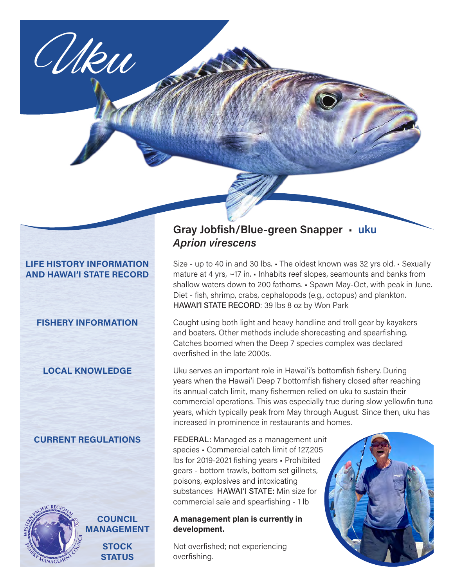

### **LIFE HISTORY INFORMATION AND HAWAI'I STATE RECORD**

# **FISHERY INFORMATION**

# **LOCAL KNOWLEDGE**

# **CURRENT REGULATIONS**



**COUNCIL MANAGEMENT**

> **STOCK STATUS**

# **Gray Jobfish/Blue-green Snapper** • **uku** *Aprion virescens*

Size - up to 40 in and 30 lbs. • The oldest known was 32 yrs old. • Sexually mature at 4 yrs, ~17 in. • Inhabits reef slopes, seamounts and banks from shallow waters down to 200 fathoms. • Spawn May-Oct, with peak in June. Diet - fish, shrimp, crabs, cephalopods (e.g., octopus) and plankton. HAWAI'I STATE RECORD: 39 lbs 8 oz by Won Park

Caught using both light and heavy handline and troll gear by kayakers and boaters. Other methods include shorecasting and spearfishing. Catches boomed when the Deep 7 species complex was declared overfished in the late 2000s.

Uku serves an important role in Hawai'i's bottomfish fishery. During years when the Hawai'i Deep 7 bottomfish fishery closed after reaching its annual catch limit, many fishermen relied on uku to sustain their commercial operations. This was especially true during slow yellowfin tuna years, which typically peak from May through August. Since then, uku has increased in prominence in restaurants and homes.

FEDERAL: Managed as a management unit species • Commercial catch limit of 127,205 lbs for 2019-2021 fishing years • Prohibited gears - bottom trawls, bottom set gillnets, poisons, explosives and intoxicating substances HAWAI'I STATE: Min size for commercial sale and spearfishing - 1 lb

### **A management plan is currently in development.**

Not overfished; not experiencing overfishing.